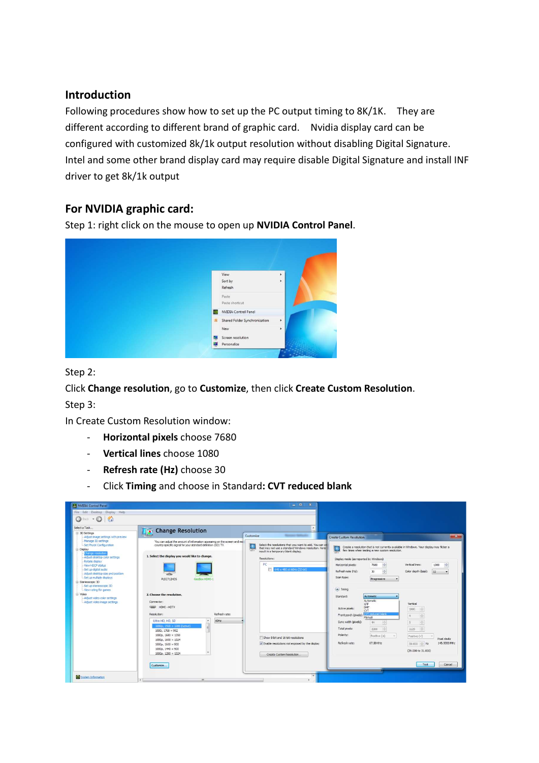#### Introduction

Following procedures show how to set up the PC output timing to 8K/1K. They are different according to different brand of graphic card. Nvidia display card can be configured with customized 8k/1k output resolution without disabling Digital Signature. Intel and some other brand display card may require disable Digital Signature and install INF driver to get 8k/1k output

## For NVIDIA graphic card:

Step 1: right click on the mouse to open up NVIDIA Control Panel.



Step 2:

Click Change resolution, go to Customize, then click Create Custom Resolution. Step 3:

In Create Custom Resolution window:

- Horizontal pixels choose 7680
- Vertical lines choose 1080
- Refresh rate (Hz) choose 30
- Click Timing and choose in Standard: CVT reduced blank

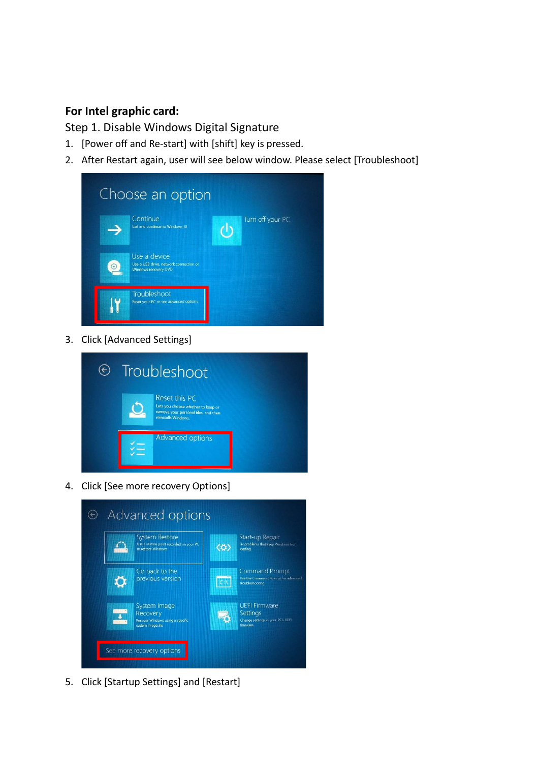# For Intel graphic card:

Step 1. Disable Windows Digital Signature

- 1. [Power off and Re-start] with [shift] key is pressed.
- 2. After Restart again, user will see below window. Please select [Troubleshoot]

|   | Choose an option                                                               |                  |
|---|--------------------------------------------------------------------------------|------------------|
|   | Continue<br>Exit and continue to Windows 10                                    | Turn off your PC |
| ഭ | Use a device<br>Use a USB drive, network connection or<br>Windows recovery DVD |                  |
|   | Troubleshoot<br>Reset your PC or see advanced options                          |                  |

3. Click [Advanced Settings]



4. Click [See more recovery Options]

| <b>Advanced options</b>                                                                |                                                                                                |  |  |  |
|----------------------------------------------------------------------------------------|------------------------------------------------------------------------------------------------|--|--|--|
| <b>System Restore</b><br>Use a restore point recorded on your PC<br>to restore Windows | Start-up Repair<br>Fix problems that keep Windows from<br>$\langle \varphi \rangle$<br>loading |  |  |  |
| Go back to the<br>previous version                                                     | <b>Command Prompt</b><br>Use the Command Prompt for advanced<br>troubleshooting                |  |  |  |
| System Image<br>Recovery<br>Recover Windows using a specific<br>system image file      | <b>UEFI Firmware</b><br>Settings<br>Change settings in your PC's UEFI<br>firmware              |  |  |  |
| See more recovery options                                                              |                                                                                                |  |  |  |

5. Click [Startup Settings] and [Restart]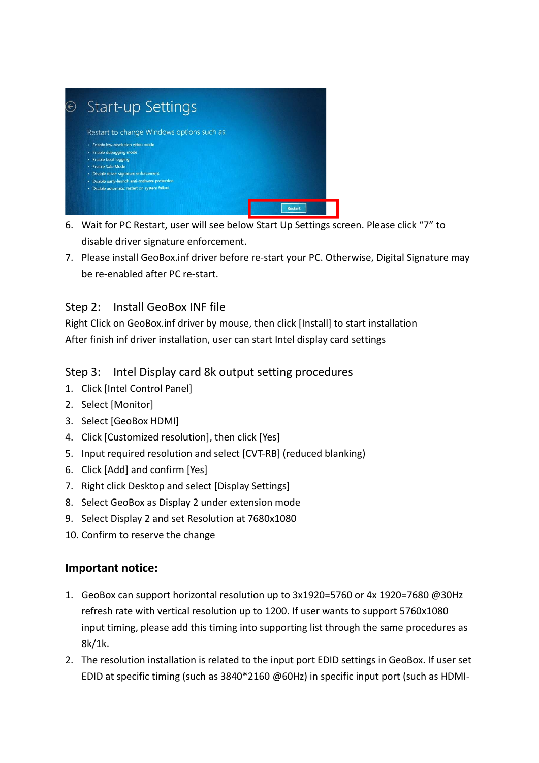

- 6. Wait for PC Restart, user will see below Start Up Settings screen. Please click "7" to disable driver signature enforcement.
- 7. Please install GeoBox.inf driver before re-start your PC. Otherwise, Digital Signature may be re-enabled after PC re-start.

# Step 2: Install GeoBox INF file

Right Click on GeoBox.inf driver by mouse, then click [Install] to start installation After finish inf driver installation, user can start Intel display card settings

## Step 3: Intel Display card 8k output setting procedures

- 1. Click [Intel Control Panel]
- 2. Select [Monitor]
- 3. Select [GeoBox HDMI]
- 4. Click [Customized resolution], then click [Yes]
- 5. Input required resolution and select [CVT-RB] (reduced blanking)
- 6. Click [Add] and confirm [Yes]
- 7. Right click Desktop and select [Display Settings]
- 8. Select GeoBox as Display 2 under extension mode
- 9. Select Display 2 and set Resolution at 7680x1080
- 10. Confirm to reserve the change

### Important notice:

- 1. GeoBox can support horizontal resolution up to 3x1920=5760 or 4x 1920=7680 @30Hz refresh rate with vertical resolution up to 1200. If user wants to support 5760x1080 input timing, please add this timing into supporting list through the same procedures as 8k/1k.
- 2. The resolution installation is related to the input port EDID settings in GeoBox. If user set EDID at specific timing (such as 3840\*2160 @60Hz) in specific input port (such as HDMI-